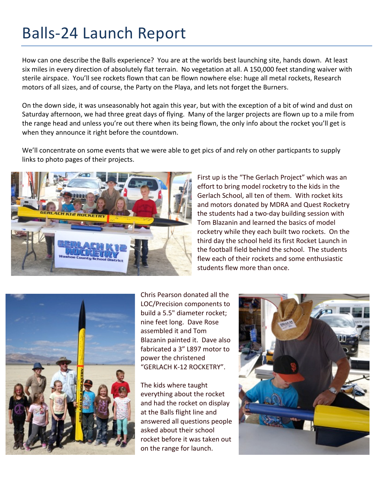## Balls-24 Launch Report

How can one describe the Balls experience? You are at the worlds best launching site, hands down. At least six miles in every direction of absolutely flat terrain. No vegetation at all. A 150,000 feet standing waiver with sterile airspace. You'll see rockets flown that can be flown nowhere else: huge all metal rockets, Research motors of all sizes, and of course, the Party on the Playa, and lets not forget the Burners.

On the down side, it was unseasonably hot again this year, but with the exception of a bit of wind and dust on Saturday afternoon, we had three great days of flying. Many of the larger projects are flown up to a mile from the range head and unless you're out there when its being flown, the only info about the rocket you'll get is when they announce it right before the countdown.

We'll concentrate on some events that we were able to get pics of and rely on other particpants to supply links to photo pages of their projects.



First up is the "The Gerlach Project" which was an effort to bring model rocketry to the kids in the Gerlach School, all ten of them. With rocket kits and motors donated by MDRA and Quest Rocketry the students had a two-day building session with Tom Blazanin and learned the basics of model rocketry while they each built two rockets. On the third day the school held its first Rocket Launch in the football field behind the school. The students flew each of their rockets and some enthusiastic students flew more than once.



Chris Pearson donated all the LOC/Precision components to build a 5.5" diameter rocket; nine feet long. Dave Rose assembled it and Tom Blazanin painted it. Dave also fabricated a 3" L897 motor to power the christened "GERLACH K-12 ROCKETRY".

The kids where taught everything about the rocket and had the rocket on display at the Balls flight line and answered all questions people asked about their school rocket before it was taken out on the range for launch.

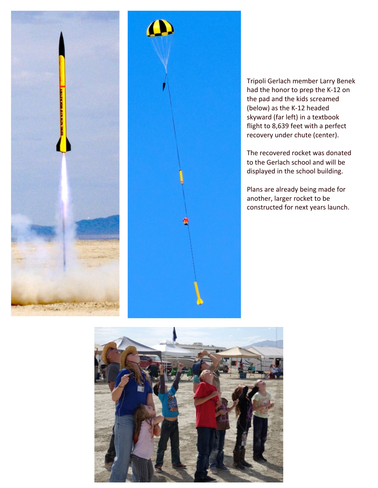



Tripoli Gerlach member Larry Benek had the honor to prep the K-12 on the pad and the kids screamed (below) as the K-12 headed skyward (far left) in a textbook flight to 8,639 feet with a perfect recovery under chute (center).

The recovered rocket was donated to the Gerlach school and will be displayed in the school building.

Plans are already being made for another, larger rocket to be constructed for next years launch.

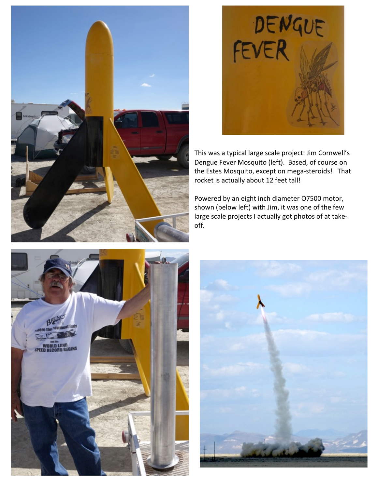



This was a typical large scale project: Jim Cornwell's Dengue Fever Mosquito (left). Based, of course on the Estes Mosquito, except on mega-steroids! That rocket is actually about 12 feet tall!

Powered by an eight inch diameter O7500 motor, shown (below left) with Jim, it was one of the few large scale projects I actually got photos of at takeoff. 



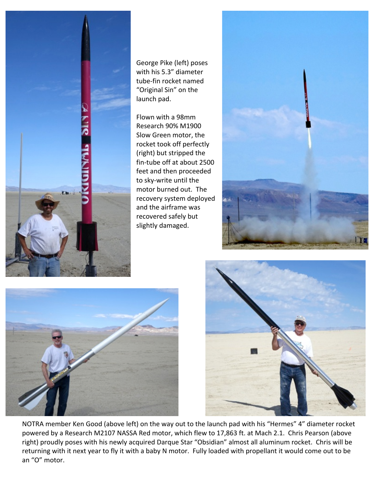

George Pike (left) poses with his 5.3" diameter tube-fin rocket named "Original Sin" on the launch pad.

Flown with a 98mm Research 90% M1900 Slow Green motor, the rocket took off perfectly (right) but stripped the fin-tube off at about 2500 feet and then proceeded to sky-write until the motor burned out. The recovery system deployed and the airframe was recovered safely but slightly damaged.







NOTRA member Ken Good (above left) on the way out to the launch pad with his "Hermes" 4" diameter rocket powered by a Research M2107 NASSA Red motor, which flew to 17,863 ft. at Mach 2.1. Chris Pearson (above right) proudly poses with his newly acquired Darque Star "Obsidian" almost all aluminum rocket. Chris will be returning with it next year to fly it with a baby N motor. Fully loaded with propellant it would come out to be an "O" motor.